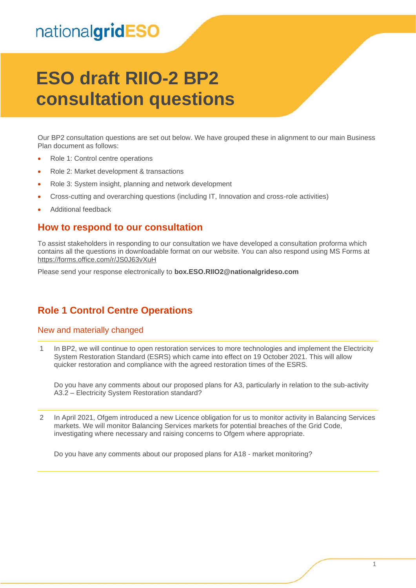# nationalgridESO

# **ESO draft RIIO-2 BP2 consultation questions**

Our BP2 consultation questions are set out below. We have grouped these in alignment to our main Business Plan document as follows:

- Role 1: Control centre operations
- Role 2: Market development & transactions
- Role 3: System insight, planning and network development
- Cross-cutting and overarching questions (including IT, Innovation and cross-role activities)
- Additional feedback

#### **How to respond to our consultation**

To assist stakeholders in responding to our consultation we have developed a consultation proforma which contains all the questions in downloadable format on our website. You can also respond using MS Forms at <https://forms.office.com/r/JS0J63vXuH>

Please send your response electronically to **box.ESO.RIIO2@nationalgrideso.com**

### **Role 1 Control Centre Operations**

#### New and materially changed

1 In BP2, we will continue to open restoration services to more technologies and implement the Electricity System Restoration Standard (ESRS) which came into effect on 19 October 2021. This will allow quicker restoration and compliance with the agreed restoration times of the ESRS.

Do you have any comments about our proposed plans for A3, particularly in relation to the sub-activity A3.2 – Electricity System Restoration standard?

2 In April 2021, Ofgem introduced a new Licence obligation for us to monitor activity in Balancing Services markets. We will monitor Balancing Services markets for potential breaches of the Grid Code, investigating where necessary and raising concerns to Ofgem where appropriate.

Do you have any comments about our proposed plans for A18 - market monitoring?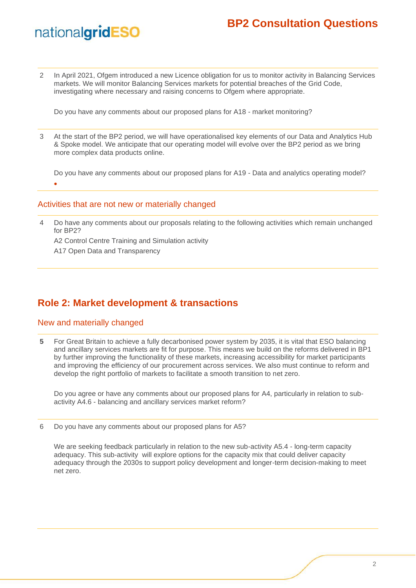# nationalgridESO

2 In April 2021, Ofgem introduced a new Licence obligation for us to monitor activity in Balancing Services markets. We will monitor Balancing Services markets for potential breaches of the Grid Code, investigating where necessary and raising concerns to Ofgem where appropriate.

Do you have any comments about our proposed plans for A18 - market monitoring?

3 At the start of the BP2 period, we will have operationalised key elements of our Data and Analytics Hub & Spoke model. We anticipate that our operating model will evolve over the BP2 period as we bring more complex data products online.

Do you have any comments about our proposed plans for A19 - Data and analytics operating model? •

#### Activities that are not new or materially changed

4 Do have any comments about our proposals relating to the following activities which remain unchanged for BP2?

A2 Control Centre Training and Simulation activity

A17 Open Data and Transparency

### **Role 2: Market development & transactions**

#### New and materially changed

**5** For Great Britain to achieve a fully decarbonised power system by 2035, it is vital that ESO balancing and ancillary services markets are fit for purpose. This means we build on the reforms delivered in BP1 by further improving the functionality of these markets, increasing accessibility for market participants and improving the efficiency of our procurement across services. We also must continue to reform and develop the right portfolio of markets to facilitate a smooth transition to net zero.

Do you agree or have any comments about our proposed plans for A4, particularly in relation to subactivity A4.6 - balancing and ancillary services market reform?

6 Do you have any comments about our proposed plans for A5?

We are seeking feedback particularly in relation to the new sub-activity A5.4 - long-term capacity adequacy. This sub-activity will explore options for the capacity mix that could deliver capacity adequacy through the 2030s to support policy development and longer-term decision-making to meet net zero.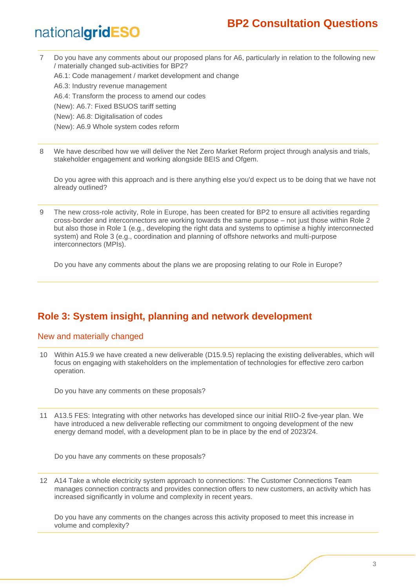# nationalgridESO

7 Do you have any comments about our proposed plans for A6, particularly in relation to the following new / materially changed sub-activities for BP2?

A6.1: Code management / market development and change

- A6.3: Industry revenue management
- A6.4: Transform the process to amend our codes
- (New): A6.7: Fixed BSUOS tariff setting
- (New): A6.8: Digitalisation of codes
- (New): A6.9 Whole system codes reform
- 8 We have described how we will deliver the Net Zero Market Reform project through analysis and trials, stakeholder engagement and working alongside BEIS and Ofgem.

Do you agree with this approach and is there anything else you'd expect us to be doing that we have not already outlined?

9 The new cross-role activity, Role in Europe, has been created for BP2 to ensure all activities regarding cross-border and interconnectors are working towards the same purpose – not just those within Role 2 but also those in Role 1 (e.g., developing the right data and systems to optimise a highly interconnected system) and Role 3 (e.g., coordination and planning of offshore networks and multi-purpose interconnectors (MPIs).

Do you have any comments about the plans we are proposing relating to our Role in Europe?

## **Role 3: System insight, planning and network development**

#### New and materially changed

10 Within A15.9 we have created a new deliverable (D15.9.5) replacing the existing deliverables, which will focus on engaging with stakeholders on the implementation of technologies for effective zero carbon operation.

Do you have any comments on these proposals?

11 A13.5 FES: Integrating with other networks has developed since our initial RIIO-2 five-year plan. We have introduced a new deliverable reflecting our commitment to ongoing development of the new energy demand model, with a development plan to be in place by the end of 2023/24.

Do you have any comments on these proposals?

12 A14 Take a whole electricity system approach to connections: The Customer Connections Team manages connection contracts and provides connection offers to new customers, an activity which has increased significantly in volume and complexity in recent years.

Do you have any comments on the changes across this activity proposed to meet this increase in volume and complexity?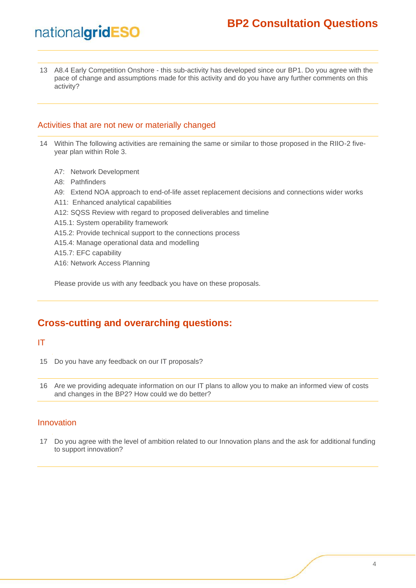13 A8.4 Early Competition Onshore - this sub-activity has developed since our BP1. Do you agree with the pace of change and assumptions made for this activity and do you have any further comments on this activity?

#### Activities that are not new or materially changed

- 14 Within The following activities are remaining the same or similar to those proposed in the RIIO-2 fiveyear plan within Role 3.
	- A7: Network Development
	- A8: Pathfinders

nationalgridESO

- A9: Extend NOA approach to end-of-life asset replacement decisions and connections wider works
- A11: Enhanced analytical capabilities
- A12: SQSS Review with regard to proposed deliverables and timeline
- A15.1: System operability framework
- A15.2: Provide technical support to the connections process
- A15.4: Manage operational data and modelling
- A15.7: EFC capability
- A16: Network Access Planning

Please provide us with any feedback you have on these proposals.

### **Cross-cutting and overarching questions:**

#### IT

15 Do you have any feedback on our IT proposals?

16 Are we providing adequate information on our IT plans to allow you to make an informed view of costs and changes in the BP2? How could we do better?

#### Innovation

17 Do you agree with the level of ambition related to our Innovation plans and the ask for additional funding to support innovation?